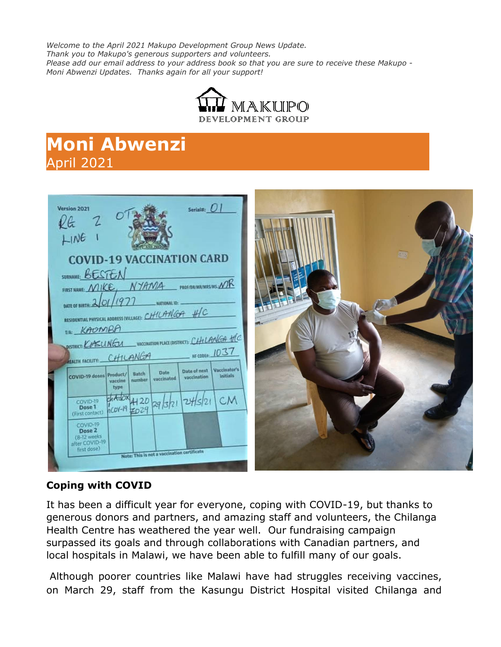*Welcome to the April 2021 Makupo Development Group News Update. Thank you to Makupo's generous supporters and volunteers. Please add our email address to your address book so that you are sure to receive these Makupo - Moni Abwenzi Updates. Thanks again for all your support!*



# **Moni Abwenzi** April 2021

| Serial#: 01<br>Version 2021<br>kG<br>LINE<br><b>COVID-19 VACCINATION CARD</b><br>SURNAME BESTEN<br>FIRST NAME, NYAMA PROFIDENMANARCHIS MR<br>DATE OF BIRTH: 2/01/1977<br>NATIONAL ID: -<br>RESIDENTIAL PHYSICAL ADDRESS (VILLAGE): CHILANGA HIC                                                                            | $\overline{m}$ |
|----------------------------------------------------------------------------------------------------------------------------------------------------------------------------------------------------------------------------------------------------------------------------------------------------------------------------|----------------|
| <b>WAL KAOMARA</b><br>DISTRICT: COSUNGU VACONATION PLACE(DISTRICT): CHILANGA HC<br>$\frac{1037}{20000}$<br>HEALTH FACILITY: CHILANGA<br>Vaccinator's<br>Date of next<br>Date<br>Batch<br>COVID-19 doses Product/<br><b>Initials</b><br>vaccination<br>vaccinated<br>number<br>vaccine<br>type<br>$\frac{1}{2}$<br>COVID-19 |                |
| Dose 1<br>(First contact)<br>COVID-19<br>Dose 2<br>(8-12 weeks)<br>after COVID-19<br>first dose)<br>Note: This is not a vaccination certificate                                                                                                                                                                            |                |

### **Coping with COVID**

It has been a difficult year for everyone, coping with COVID-19, but thanks to generous donors and partners, and amazing staff and volunteers, the Chilanga Health Centre has weathered the year well. Our fundraising campaign surpassed its goals and through collaborations with Canadian partners, and local hospitals in Malawi, we have been able to fulfill many of our goals.

Although poorer countries like Malawi have had struggles receiving vaccines, on March 29, staff from the Kasungu District Hospital visited Chilanga and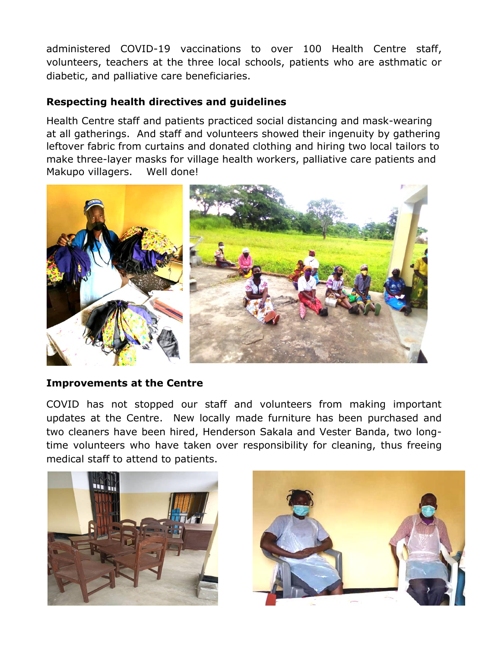administered COVID-19 vaccinations to over 100 Health Centre staff, volunteers, teachers at the three local schools, patients who are asthmatic or diabetic, and palliative care beneficiaries.

#### **Respecting health directives and guidelines**

Health Centre staff and patients practiced social distancing and mask-wearing at all gatherings. And staff and volunteers showed their ingenuity by gathering leftover fabric from curtains and donated clothing and hiring two local tailors to make three-layer masks for village health workers, palliative care patients and Makupo villagers. Well done!



#### **Improvements at the Centre**

COVID has not stopped our staff and volunteers from making important updates at the Centre. New locally made furniture has been purchased and two cleaners have been hired, Henderson Sakala and Vester Banda, two longtime volunteers who have taken over responsibility for cleaning, thus freeing medical staff to attend to patients.



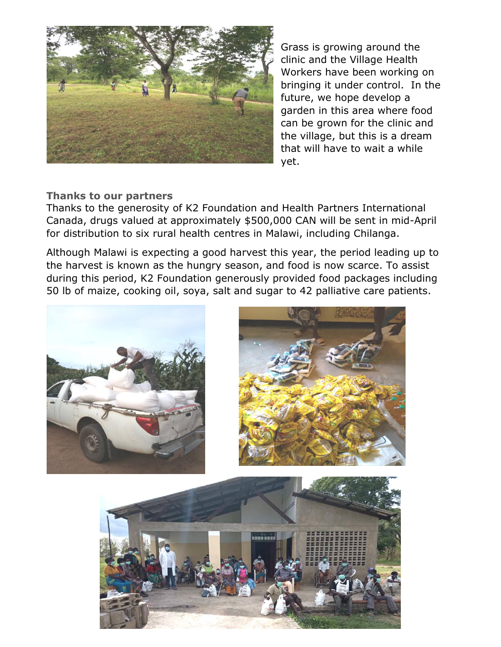

Grass is growing around the clinic and the Village Health Workers have been working on bringing it under control. In the future, we hope develop a garden in this area where food can be grown for the clinic and the village, but this is a dream that will have to wait a while yet.

#### **Thanks to our partners**

Thanks to the generosity of K2 Foundation and Health Partners International Canada, drugs valued at approximately \$500,000 CAN will be sent in mid-April for distribution to six rural health centres in Malawi, including Chilanga.

Although Malawi is expecting a good harvest this year, the period leading up to the harvest is known as the hungry season, and food is now scarce. To assist during this period, K2 Foundation generously provided food packages including 50 lb of maize, cooking oil, soya, salt and sugar to 42 palliative care patients.



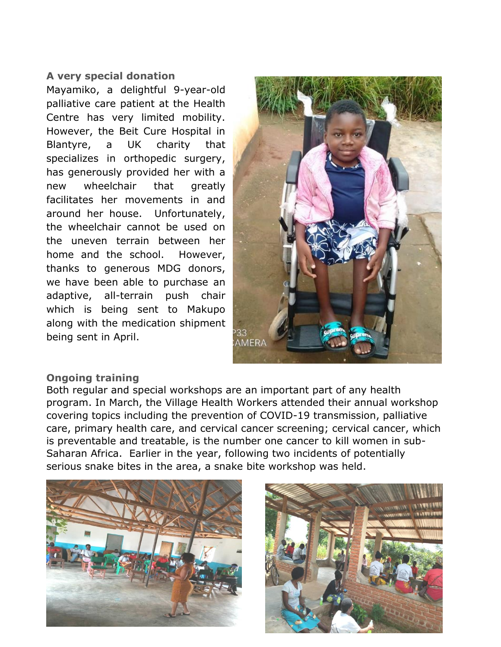#### **A very special donation**

Mayamiko, a delightful 9-year-old palliative care patient at the Health Centre has very limited mobility. However, the Beit Cure Hospital in Blantyre, a UK charity that specializes in orthopedic surgery, has generously provided her with a new wheelchair that greatly facilitates her movements in and around her house. Unfortunately, the wheelchair cannot be used on the uneven terrain between her home and the school. However, thanks to generous MDG donors, we have been able to purchase an adaptive, all-terrain push chair which is being sent to Makupo along with the medication shipment being sent in April.



#### **Ongoing training**

Both regular and special workshops are an important part of any health program. In March, the Village Health Workers attended their annual workshop covering topics including the prevention of COVID-19 transmission, palliative care, primary health care, and cervical cancer screening; cervical cancer, which is preventable and treatable, is the number one cancer to kill women in sub-Saharan Africa. Earlier in the year, following two incidents of potentially serious snake bites in the area, a snake bite workshop was held.